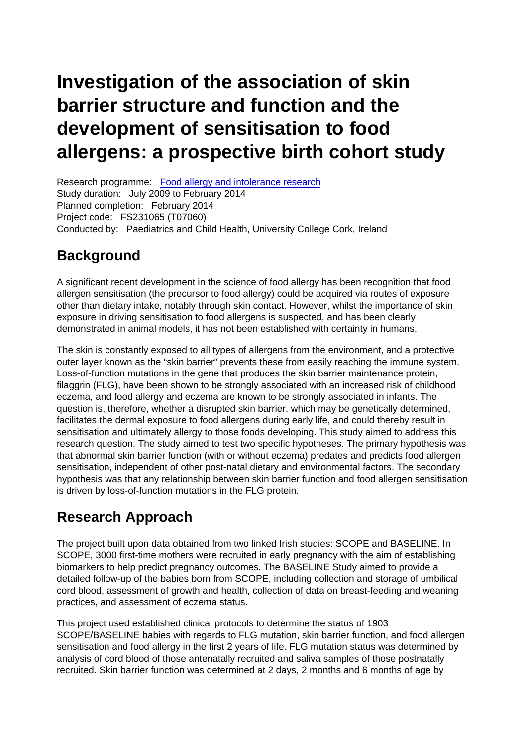# Investigation of the association of skin barrier structure and function and the development of sensitisation to food allergens: a prospective birth cohort study

Research programme: [Food allergy and intolerance research](https://www.food.gov.uk/research/food-allergy-and-intolerance-research) Study duration: July 2009 to February 2014 Planned completion: February 2014 Project code: FS231065 (T07060) Conducted by: Paediatrics and Child Health, University College Cork, Ireland

#### **Background**

A significant recent development in the science of food allergy has been recognition that food allergen sensitisation (the precursor to food allergy) could be acquired via routes of exposure other than dietary intake, notably through skin contact. However, whilst the importance of skin exposure in driving sensitisation to food allergens is suspected, and has been clearly demonstrated in animal models, it has not been established with certainty in humans.

The skin is constantly exposed to all types of allergens from the environment, and a protective outer layer known as the "skin barrier" prevents these from easily reaching the immune system. Loss-of-function mutations in the gene that produces the skin barrier maintenance protein, filaggrin (FLG), have been shown to be strongly associated with an increased risk of childhood eczema, and food allergy and eczema are known to be strongly associated in infants. The question is, therefore, whether a disrupted skin barrier, which may be genetically determined, facilitates the dermal exposure to food allergens during early life, and could thereby result in sensitisation and ultimately allergy to those foods developing. This study aimed to address this research question. The study aimed to test two specific hypotheses. The primary hypothesis was that abnormal skin barrier function (with or without eczema) predates and predicts food allergen sensitisation, independent of other post-natal dietary and environmental factors. The secondary hypothesis was that any relationship between skin barrier function and food allergen sensitisation is driven by loss-of-function mutations in the FLG protein.

### Research Approach

The project built upon data obtained from two linked Irish studies: SCOPE and BASELINE. In SCOPE, 3000 first-time mothers were recruited in early pregnancy with the aim of establishing biomarkers to help predict pregnancy outcomes. The BASELINE Study aimed to provide a detailed follow-up of the babies born from SCOPE, including collection and storage of umbilical cord blood, assessment of growth and health, collection of data on breast-feeding and weaning practices, and assessment of eczema status.

This project used established clinical protocols to determine the status of 1903 SCOPE/BASELINE babies with regards to FLG mutation, skin barrier function, and food allergen sensitisation and food allergy in the first 2 years of life. FLG mutation status was determined by analysis of cord blood of those antenatally recruited and saliva samples of those postnatally recruited. Skin barrier function was determined at 2 days, 2 months and 6 months of age by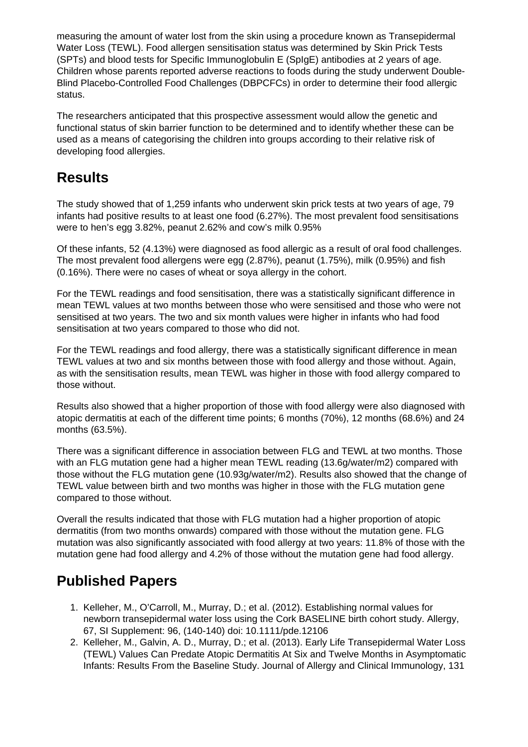measuring the amount of water lost from the skin using a procedure known as Transepidermal Water Loss (TEWL). Food allergen sensitisation status was determined by Skin Prick Tests (SPTs) and blood tests for Specific Immunoglobulin E (SpIgE) antibodies at 2 years of age. Children whose parents reported adverse reactions to foods during the study underwent Double-Blind Placebo-Controlled Food Challenges (DBPCFCs) in order to determine their food allergic status.

The researchers anticipated that this prospective assessment would allow the genetic and functional status of skin barrier function to be determined and to identify whether these can be used as a means of categorising the children into groups according to their relative risk of developing food allergies.

#### **Results**

The study showed that of 1,259 infants who underwent skin prick tests at two years of age, 79 infants had positive results to at least one food (6.27%). The most prevalent food sensitisations were to hen's egg 3.82%, peanut 2.62% and cow's milk 0.95%

Of these infants, 52 (4.13%) were diagnosed as food allergic as a result of oral food challenges. The most prevalent food allergens were egg (2.87%), peanut (1.75%), milk (0.95%) and fish (0.16%). There were no cases of wheat or soya allergy in the cohort.

For the TEWL readings and food sensitisation, there was a statistically significant difference in mean TEWL values at two months between those who were sensitised and those who were not sensitised at two years. The two and six month values were higher in infants who had food sensitisation at two years compared to those who did not.

For the TEWL readings and food allergy, there was a statistically significant difference in mean TEWL values at two and six months between those with food allergy and those without. Again, as with the sensitisation results, mean TEWL was higher in those with food allergy compared to those without.

Results also showed that a higher proportion of those with food allergy were also diagnosed with atopic dermatitis at each of the different time points; 6 months (70%), 12 months (68.6%) and 24 months (63.5%).

There was a significant difference in association between FLG and TEWL at two months. Those with an FLG mutation gene had a higher mean TEWL reading (13.6g/water/m2) compared with those without the FLG mutation gene (10.93g/water/m2). Results also showed that the change of TEWL value between birth and two months was higher in those with the FLG mutation gene compared to those without.

Overall the results indicated that those with FLG mutation had a higher proportion of atopic dermatitis (from two months onwards) compared with those without the mutation gene. FLG mutation was also significantly associated with food allergy at two years: 11.8% of those with the mutation gene had food allergy and 4.2% of those without the mutation gene had food allergy.

## **Published Papers**

- 1. Kelleher, M., O'Carroll, M., Murray, D.; et al. (2012). Establishing normal values for newborn transepidermal water loss using the Cork BASELINE birth cohort study. Allergy, 67, SI Supplement: 96, (140-140) doi: 10.1111/pde.12106
- 2. Kelleher, M., Galvin, A. D., Murray, D.; et al. (2013). Early Life Transepidermal Water Loss (TEWL) Values Can Predate Atopic Dermatitis At Six and Twelve Months in Asymptomatic Infants: Results From the Baseline Study. Journal of Allergy and Clinical Immunology, 131